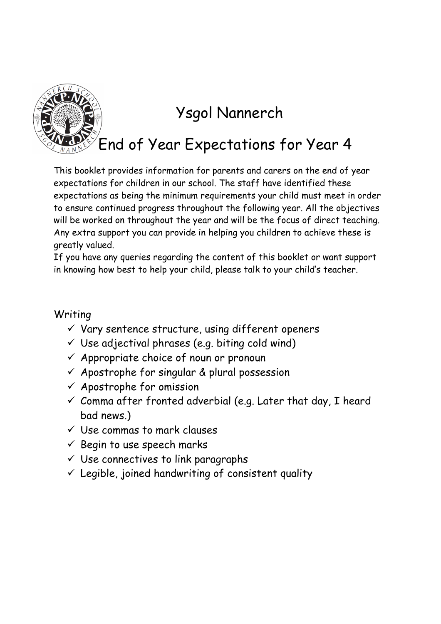

## Ysgol Nannerch

End of Year Expectations for Year 4

This booklet provides information for parents and carers on the end of year expectations for children in our school. The staff have identified these expectations as being the minimum requirements your child must meet in order to ensure continued progress throughout the following year. All the objectives will be worked on throughout the year and will be the focus of direct teaching. Any extra support you can provide in helping you children to achieve these is greatly valued.

If you have any queries regarding the content of this booklet or want support in knowing how best to help your child, please talk to your child's teacher.

## Writing

- $\checkmark$  Vary sentence structure, using different openers
- $\checkmark$  Use adjectival phrases (e.g. biting cold wind)
- $\checkmark$  Appropriate choice of noun or pronoun
- $\checkmark$  Apostrophe for singular & plural possession
- $\checkmark$  Apostrophe for omission
- $\checkmark$  Comma after fronted adverbial (e.g. Later that day, I heard bad news.)
- $\checkmark$  Use commas to mark clauses
- $\checkmark$  Begin to use speech marks
- $\checkmark$  Use connectives to link paragraphs
- $\checkmark$  Legible, joined handwriting of consistent quality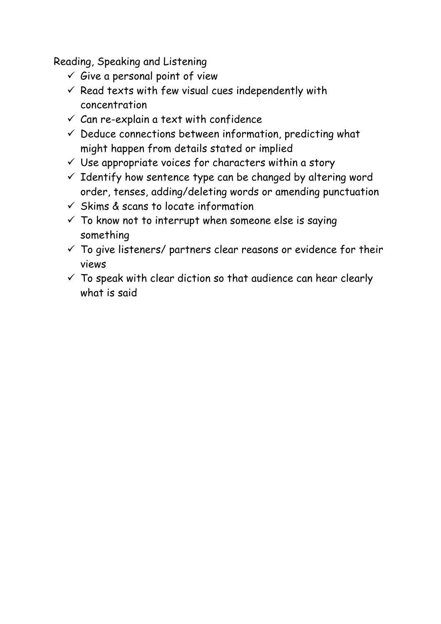Reading, Speaking and Listening

- $\checkmark$  Give a personal point of view
- $\checkmark$  Read texts with few visual cues independently with concentration
- $\checkmark$  Can re-explain a text with confidence
- $\checkmark$  Deduce connections between information, predicting what might happen from details stated or implied
- $\checkmark$  Use appropriate voices for characters within a story
- $\checkmark$  Identify how sentence type can be changed by altering word order, tenses, adding/deleting words or amending punctuation
- $\checkmark$  Skims & scans to locate information
- $\checkmark$  To know not to interrupt when someone else is saying something
- $\checkmark$  To give listeners/ partners clear reasons or evidence for their views
- $\checkmark$  To speak with clear diction so that audience can hear clearly what is said